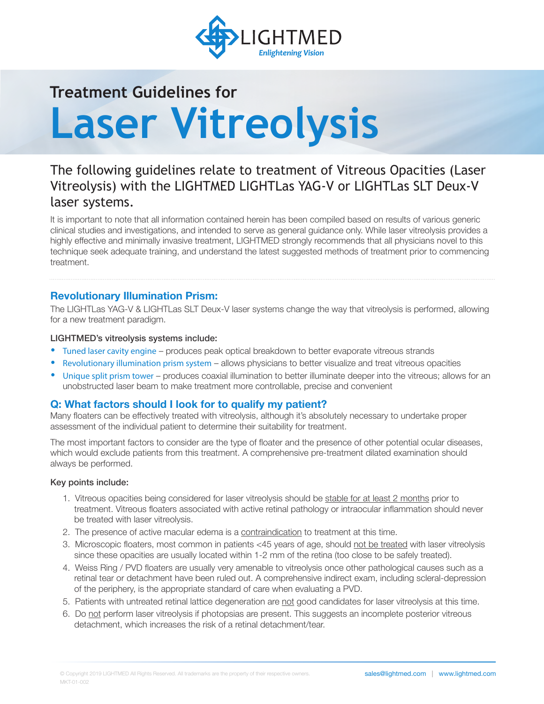

# **Treatment Guidelines for Laser Vitreolysis**

# The following guidelines relate to treatment of Vitreous Opacities (Laser Vitreolysis) with the LIGHTMED LIGHTLas YAG-V or LIGHTLas SLT Deux-V laser systems.

It is important to note that all information contained herein has been compiled based on results of various generic clinical studies and investigations, and intended to serve as general guidance only. While laser vitreolysis provides a highly effective and minimally invasive treatment, LIGHTMED strongly recommends that all physicians novel to this technique seek adequate training, and understand the latest suggested methods of treatment prior to commencing treatment.

# **Revolutionary Illumination Prism:**

The LIGHTLas YAG-V & LIGHTLas SLT Deux-V laser systems change the way that vitreolysis is performed, allowing for a new treatment paradigm.

#### LIGHTMED's vitreolysis systems include:

- Tuned laser cavity engine produces peak optical breakdown to better evaporate vitreous strands
- Revolutionary illumination prism system allows physicians to better visualize and treat vitreous opacities
- Unique split prism tower produces coaxial illumination to better illuminate deeper into the vitreous; allows for an unobstructed laser beam to make treatment more controllable, precise and convenient

## **Q: What factors should I look for to qualify my patient?**

Many floaters can be effectively treated with vitreolysis, although it's absolutely necessary to undertake proper assessment of the individual patient to determine their suitability for treatment.

The most important factors to consider are the type of floater and the presence of other potential ocular diseases, which would exclude patients from this treatment. A comprehensive pre-treatment dilated examination should always be performed.

#### Key points include:

- 1. Vitreous opacities being considered for laser vitreolysis should be stable for at least 2 months prior to treatment. Vitreous floaters associated with active retinal pathology or intraocular inflammation should never be treated with laser vitreolysis.
- 2. The presence of active macular edema is a contraindication to treatment at this time.
- 3. Microscopic floaters, most common in patients <45 years of age, should not be treated with laser vitreolysis since these opacities are usually located within 1-2 mm of the retina (too close to be safely treated).
- 4. Weiss Ring / PVD floaters are usually very amenable to vitreolysis once other pathological causes such as a retinal tear or detachment have been ruled out. A comprehensive indirect exam, including scleral-depression of the periphery, is the appropriate standard of care when evaluating a PVD.
- 5. Patients with untreated retinal lattice degeneration are not good candidates for laser vitreolysis at this time.
- 6. Do not perform laser vitreolysis if photopsias are present. This suggests an incomplete posterior vitreous detachment, which increases the risk of a retinal detachment/tear.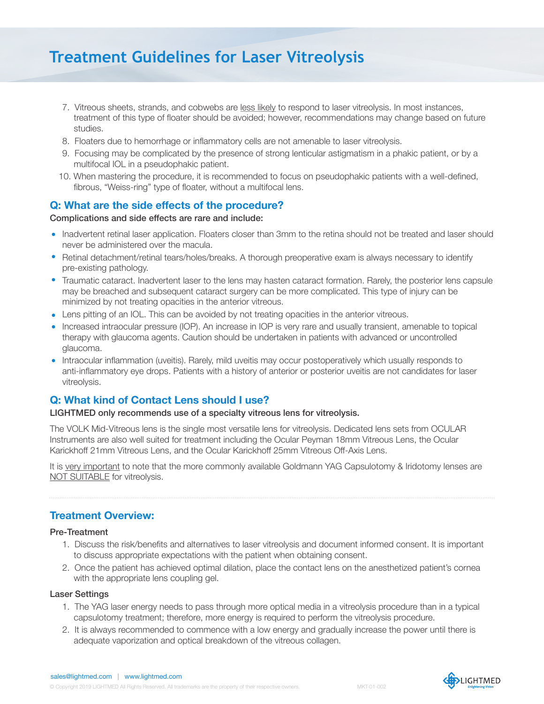# **Treatment Guidelines for Laser Vitreolysis**

- 7. Vitreous sheets, strands, and cobwebs are less likely to respond to laser vitreolysis. In most instances, treatment of this type of floater should be avoided; however, recommendations may change based on future studies.
- 8. Floaters due to hemorrhage or inflammatory cells are not amenable to laser vitreolysis.
- 9. Focusing may be complicated by the presence of strong lenticular astigmatism in a phakic patient, or by a multifocal IOL in a pseudophakic patient.
- 10. When mastering the procedure, it is recommended to focus on pseudophakic patients with a well-defined, fibrous, "Weiss-ring" type of floater, without a multifocal lens.

## **Q: What are the side effects of the procedure?**

#### Complications and side effects are rare and include:

- Inadvertent retinal laser application. Floaters closer than 3mm to the retina should not be treated and laser should never be administered over the macula.
- Retinal detachment/retinal tears/holes/breaks. A thorough preoperative exam is always necessary to identify pre-existing pathology.
- Traumatic cataract. Inadvertent laser to the lens may hasten cataract formation. Rarely, the posterior lens capsule may be breached and subsequent cataract surgery can be more complicated. This type of injury can be minimized by not treating opacities in the anterior vitreous.
- Lens pitting of an IOL. This can be avoided by not treating opacities in the anterior vitreous.
- Increased intraocular pressure (IOP). An increase in IOP is very rare and usually transient, amenable to topical therapy with glaucoma agents. Caution should be undertaken in patients with advanced or uncontrolled glaucoma.
- Intraocular inflammation (uveitis). Rarely, mild uveitis may occur postoperatively which usually responds to anti-inflammatory eye drops. Patients with a history of anterior or posterior uveitis are not candidates for laser vitreolysis.

## **Q: What kind of Contact Lens should I use?**

#### LIGHTMED only recommends use of a specialty vitreous lens for vitreolysis.

The VOLK Mid-Vitreous lens is the single most versatile lens for vitreolysis. Dedicated lens sets from OCULAR Instruments are also well suited for treatment including the Ocular Peyman 18mm Vitreous Lens, the Ocular Karickhoff 21mm Vitreous Lens, and the Ocular Karickhoff 25mm Vitreous Off-Axis Lens.

It is very important to note that the more commonly available Goldmann YAG Capsulotomy & Iridotomy lenses are NOT SUITABLE for vitreolysis.

# **Treatment Overview:**

#### Pre-Treatment

- 1. Discuss the risk/benefits and alternatives to laser vitreolysis and document informed consent. It is important to discuss appropriate expectations with the patient when obtaining consent.
- 2. Once the patient has achieved optimal dilation, place the contact lens on the anesthetized patient's cornea with the appropriate lens coupling gel.

#### Laser Settings

- 1. The YAG laser energy needs to pass through more optical media in a vitreolysis procedure than in a typical capsulotomy treatment; therefore, more energy is required to perform the vitreolysis procedure.
- 2. It is always recommended to commence with a low energy and gradually increase the power until there is adequate vaporization and optical breakdown of the vitreous collagen.